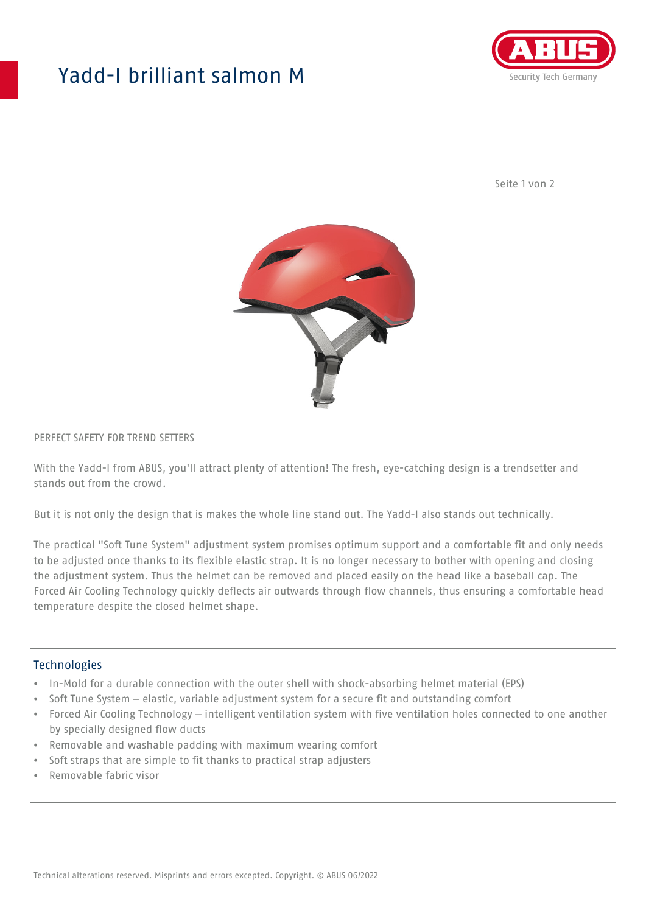## Yadd-I brilliant salmon M



Seite 1 von 2



#### PERFECT SAFETY FOR TREND SETTERS

With the Yadd-I from ABUS, you'll attract plenty of attention! The fresh, eye-catching design is a trendsetter and stands out from the crowd.

But it is not only the design that is makes the whole line stand out. The Yadd-I also stands out technically.

The practical "Soft Tune System" adjustment system promises optimum support and a comfortable fit and only needs to be adjusted once thanks to its flexible elastic strap. It is no longer necessary to bother with opening and closing the adjustment system. Thus the helmet can be removed and placed easily on the head like a baseball cap. The Forced Air Cooling Technology quickly deflects air outwards through flow channels, thus ensuring a comfortable head temperature despite the closed helmet shape.

#### Technologies

- In-Mold for a durable connection with the outer shell with shock-absorbing helmet material (EPS)
- Soft Tune System elastic, variable adjustment system for a secure fit and outstanding comfort
- Forced Air Cooling Technology intelligent ventilation system with five ventilation holes connected to one another by specially designed flow ducts
- Removable and washable padding with maximum wearing comfort
- Soft straps that are simple to fit thanks to practical strap adjusters
- Removable fabric visor